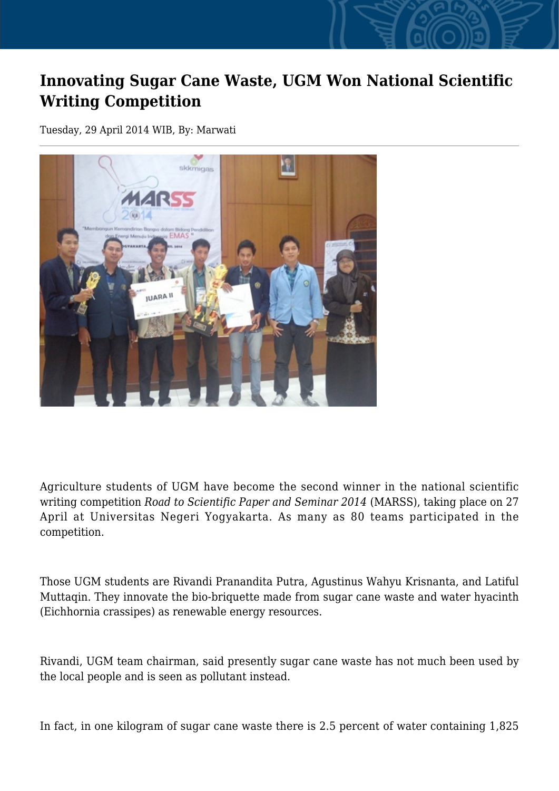## **Innovating Sugar Cane Waste, UGM Won National Scientific Writing Competition**

Tuesday, 29 April 2014 WIB, By: Marwati



Agriculture students of UGM have become the second winner in the national scientific writing competition *Road to Scientific Paper and Seminar 2014* (MARSS), taking place on 27 April at Universitas Negeri Yogyakarta. As many as 80 teams participated in the competition.

Those UGM students are Rivandi Pranandita Putra, Agustinus Wahyu Krisnanta, and Latiful Muttaqin. They innovate the bio-briquette made from sugar cane waste and water hyacinth (Eichhornia crassipes) as renewable energy resources.

Rivandi, UGM team chairman, said presently sugar cane waste has not much been used by the local people and is seen as pollutant instead.

In fact, in one kilogram of sugar cane waste there is 2.5 percent of water containing 1,825